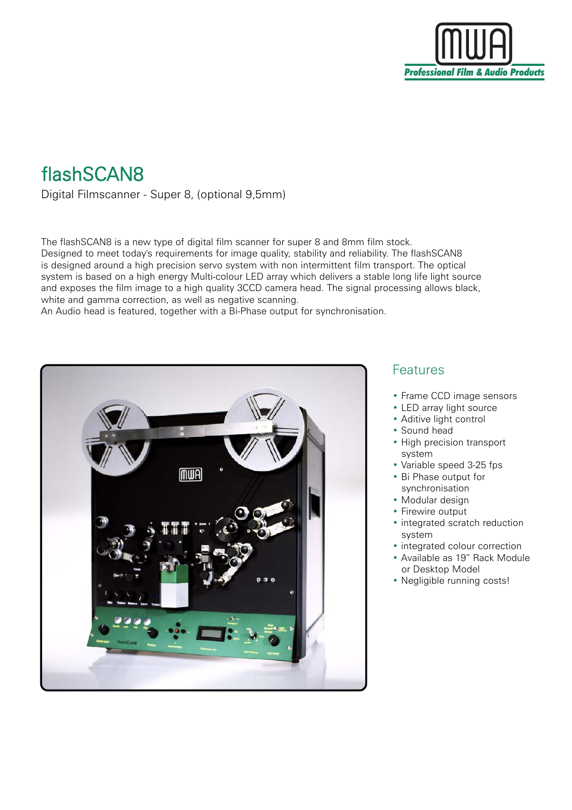

## flashSCAN8

Digital Filmscanner - Super 8, (optional 9,5mm)

The flashSCAN8 is a new type of digital film scanner for super 8 and 8mm film stock. Designed to meet today's requirements for image quality, stability and reliability. The flashSCAN8 is designed around a high precision servo system with non intermittent film transport. The optical system is based on a high energy Multi-colour LED array which delivers a stable long life light source and exposes the film image to a high quality 3CCD camera head. The signal processing allows black, white and gamma correction, as well as negative scanning.

An Audio head is featured, together with a Bi-Phase output for synchronisation.



## Features

- Frame CCD image sensors
- LED array light source
- Aditive light control
- Sound head
- High precision transport system
- Variable speed 3-25 fps
- Bi Phase output for synchronisation
- Modular design
- Firewire output
- integrated scratch reduction system
- integrated colour correction
- Available as 19" Rack Module or Desktop Model
- Negligible running costs!